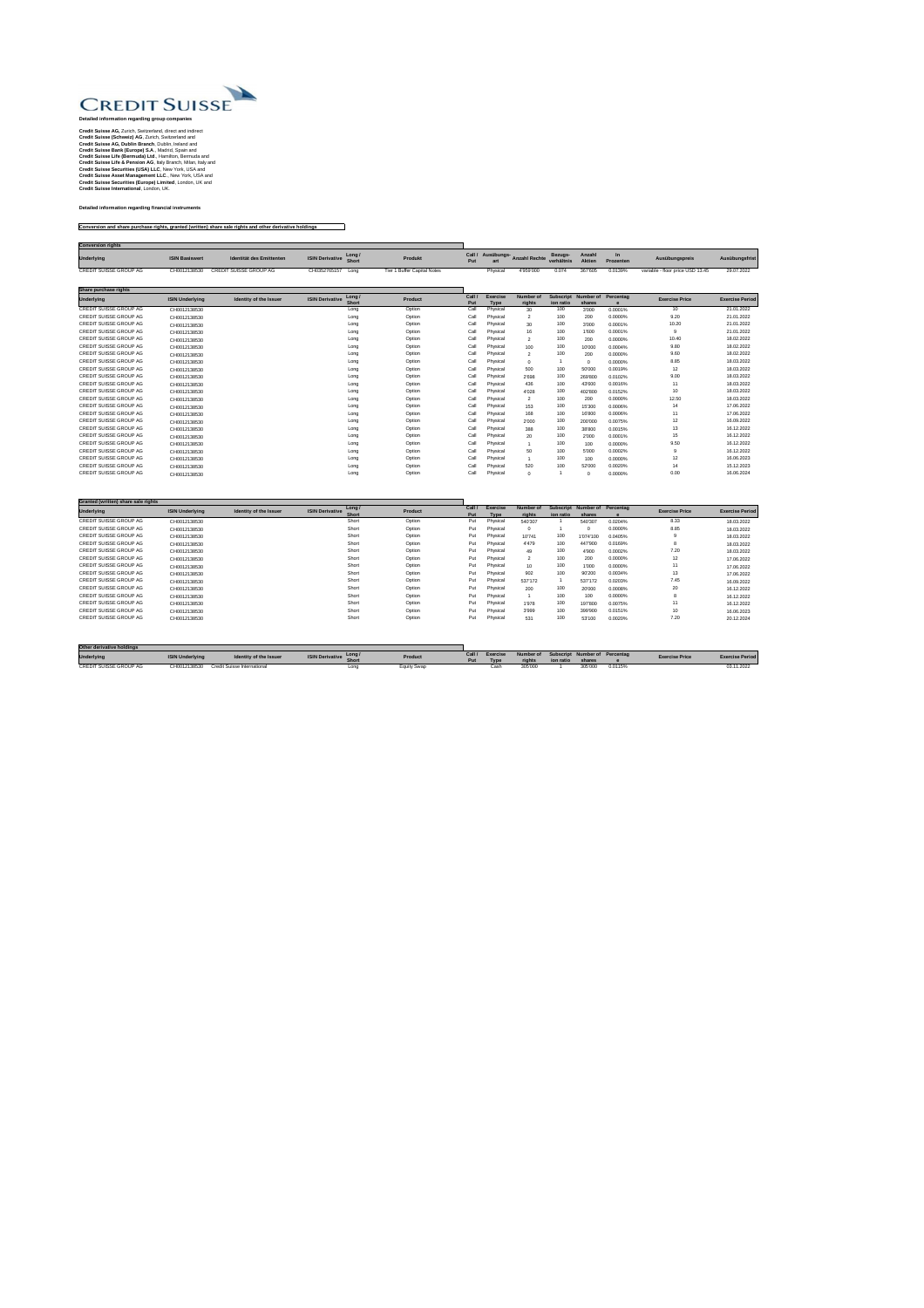

## **Detailed information regarding group companies**

**Credit Suisse AG,** Zurich, Switzerland, direct and indirect **Credit Suisse (Schweiz) AG**, Zurich, Switzerland and **Credit Suisse AG, Dublin Branch**, Dublin, Ireland and **Credit Suisse Bank (Europe) S.A**., Madrid, Spain and **Credit Suisse Life (Bermuda) Ltd**., Hamilton, Bermuda and **Credit Suisse Life & Pension AG**, Italy Branch, Milan, Italy and **Credit Suisse Securities (USA) LLC**, New York, USA and **Credit Suisse Asset Management LLC**., New York, USA and **Credit Suisse Securities (Europe) Limited**, London, UK and **Credit Suisse International**, London, UK.

## **Detailed information regarding financial instruments**

## **Conversion and share purchase rights, granted (written) share sale rights and other derivative holdings**

| <b>Conversion rights</b> |                       |                               |                               |                             |            |          |                                 |                              |                         |           |                                  |                |
|--------------------------|-----------------------|-------------------------------|-------------------------------|-----------------------------|------------|----------|---------------------------------|------------------------------|-------------------------|-----------|----------------------------------|----------------|
| <b>Underlying</b>        | <b>ISIN Basiswert</b> | Identität des Emittenten      | <b>ISIN Derivative</b> Long / | <b>Produkt</b>              | <b>Put</b> | art      | Call / Ausübungs- Anzahl Rechte | <b>Bezugs-</b><br>verhältnis | Anzahl<br><b>Aktien</b> | Prozenten | Ausübungspreis                   | Ausübungsfrist |
| CREDIT SUISSE GROUP AG   | CH0012138530          | <b>CREDIT SUISSE GROUP AG</b> | CH0352765157<br>Long          | Tier 1 Buffer Capital Notes |            | Physical | 4'959'000                       | 0.074                        | 367'605                 | 0.0139%   | variable - floor price USD 13.45 | 29.07.2022     |

| Share purchase rights         |                        |                        |                                                 |                |               |                                |                            |                               |                     |           |                       |                        |
|-------------------------------|------------------------|------------------------|-------------------------------------------------|----------------|---------------|--------------------------------|----------------------------|-------------------------------|---------------------|-----------|-----------------------|------------------------|
| <b>Underlying</b>             | <b>ISIN Underlying</b> | Identity of the Issuer | Long/<br><b>ISIN Derivative</b><br><b>Short</b> | <b>Product</b> | Call /<br>Put | <b>Exercise</b><br><b>Type</b> | <b>Number of</b><br>rights | <b>Subscript</b><br>ion ratio | Number of<br>shares | Percentag | <b>Exercise Price</b> | <b>Exercise Period</b> |
| <b>CREDIT SUISSE GROUP AG</b> | CH0012138530           |                        | Long                                            | Option         | Call          | Physical                       | 30                         | 100                           | 3'000               | 0.0001%   | 10                    | 21.01.2022             |
| <b>CREDIT SUISSE GROUP AG</b> | CH0012138530           |                        | Long                                            | Option         | Call          | Physical                       | $\overline{2}$             | 100                           | 200                 | 0.0000%   | 9.20                  | 21.01.2022             |
| <b>CREDIT SUISSE GROUP AG</b> | CH0012138530           |                        | Long                                            | Option         | Call          | Physical                       | 30                         | 100                           | 3'000               | 0.0001%   | 10.20                 | 21.01.2022             |
| <b>CREDIT SUISSE GROUP AG</b> | CH0012138530           |                        | Long                                            | Option         | Call          | Physical                       | 16                         | 100                           | 1'600               | 0.0001%   | 9                     | 21.01.2022             |
| <b>CREDIT SUISSE GROUP AG</b> | CH0012138530           |                        | Long                                            | Option         | Call          | Physical                       | $\overline{2}$             | 100                           | 200                 | 0.0000%   | 10.40                 | 18.02.2022             |
| <b>CREDIT SUISSE GROUP AG</b> | CH0012138530           |                        | Long                                            | Option         | Call          | Physical                       | 100                        | 100                           | 10'000              | 0.0004%   | 9.80                  | 18.02.2022             |
| <b>CREDIT SUISSE GROUP AG</b> | CH0012138530           |                        | Long                                            | Option         | Call          | Physical                       | 2                          | 100                           | 200                 | 0.0000%   | 9.60                  | 18.02.2022             |
| <b>CREDIT SUISSE GROUP AG</b> | CH0012138530           |                        | Long                                            | Option         | Call          | Physical                       | $\Omega$                   |                               | $\mathbf 0$         | 0.0000%   | 8.85                  | 18.03.2022             |
| <b>CREDIT SUISSE GROUP AG</b> | CH0012138530           |                        | Long                                            | Option         | Call          | Physical                       | 500                        | 100                           | 50'000              | 0.0019%   | 12                    | 18.03.2022             |
| <b>CREDIT SUISSE GROUP AG</b> | CH0012138530           |                        | Long                                            | Option         | Call          | Physical                       | 2'698                      | 100                           | 269'800             | 0.0102%   | 9.00                  | 18.03.2022             |
| <b>CREDIT SUISSE GROUP AG</b> | CH0012138530           |                        | Long                                            | Option         | Call          | Physical                       | 436                        | 100                           | 43'600              | 0.0016%   | 11                    | 18.03.2022             |
| <b>CREDIT SUISSE GROUP AG</b> | CH0012138530           |                        | Long                                            | Option         | Call          | Physical                       | 4'028                      | 100                           | 402'800             | 0.0152%   | 10                    | 18.03.2022             |
| <b>CREDIT SUISSE GROUP AG</b> | CH0012138530           |                        | Long                                            | Option         | Call          | Physical                       | $\overline{2}$             | 100                           | 200                 | 0.0000%   | 12.50                 | 18.03.2022             |
| <b>CREDIT SUISSE GROUP AG</b> | CH0012138530           |                        | Long                                            | Option         | Call          | Physical                       | 153                        | 100                           | 15'300              | 0.0006%   | 14                    | 17.06.2022             |
| <b>CREDIT SUISSE GROUP AG</b> | CH0012138530           |                        | Long                                            | Option         | Call          | Physical                       | 168                        | 100                           | 16'800              | 0.0006%   | 11                    | 17.06.2022             |
| <b>CREDIT SUISSE GROUP AG</b> | CH0012138530           |                        | Long                                            | Option         | Call          | Physical                       | 2'000                      | 100                           | 200'000             | 0.0075%   | 12                    | 16.09.2022             |
| <b>CREDIT SUISSE GROUP AG</b> | CH0012138530           |                        | Long                                            | Option         | Call          | Physical                       | 388                        | 100                           | 38'800              | 0.0015%   | 13                    | 16.12.2022             |
| <b>CREDIT SUISSE GROUP AG</b> | CH0012138530           |                        | Long                                            | Option         | Call          | Physical                       | 20                         | 100                           | 2'000               | 0.0001%   | 15                    | 16.12.2022             |
| <b>CREDIT SUISSE GROUP AG</b> | CH0012138530           |                        | Long                                            | Option         | Call          | Physical                       |                            | 100                           | 100                 | 0.0000%   | 9.50                  | 16.12.2022             |
| <b>CREDIT SUISSE GROUP AG</b> | CH0012138530           |                        | Long                                            | Option         | Call          | Physical                       | 50                         | 100                           | 5'000               | 0.0002%   | .9                    | 16.12.2022             |
| <b>CREDIT SUISSE GROUP AG</b> | CH0012138530           |                        | Long                                            | Option         | Call          | Physical                       |                            | 100                           | 100                 | 0.0000%   | 12                    | 16.06.2023             |
| <b>CREDIT SUISSE GROUP AG</b> | CH0012138530           |                        | Long                                            | Option         | Call          | Physical                       | 520                        | 100                           | 52'000              | 0.0020%   | 14                    | 15.12.2023             |
| <b>CREDIT SUISSE GROUP AG</b> | CH0012138530           |                        | Long                                            | Option         | Call          | Physical                       | $\Omega$                   |                               | $\Omega$            | 0.0000%   | 0.00                  | 16.06.2024             |

| Granted (written) share sale rights |                        |                        |                                    |                |      |                 |           |                  |           |           |                       |                        |
|-------------------------------------|------------------------|------------------------|------------------------------------|----------------|------|-----------------|-----------|------------------|-----------|-----------|-----------------------|------------------------|
| <b>Underlying</b>                   | <b>ISIN Underlying</b> | Identity of the Issuer | Long $/$<br><b>ISIN Derivative</b> | <b>Product</b> | Call | <b>Exercise</b> | Number of | <b>Subscript</b> | Number of | Percentag | <b>Exercise Price</b> | <b>Exercise Period</b> |
|                                     |                        |                        | <b>Short</b>                       |                | Put  | <b>Type</b>     | rights    | ion ratio        | shares    |           |                       |                        |
| CREDIT SUISSE GROUP AG              | CH0012138530           |                        | Short                              | Option         | Put  | Physical        | 540'307   |                  | 540'307   | 0.0204%   | 8.33                  | 18.03.2022             |
| CREDIT SUISSE GROUP AG              | CH0012138530           |                        | Short                              | Option         | Put  | Physical        | $\Omega$  |                  |           | 0.0000%   | 8.85                  | 18.03.2022             |
| CREDIT SUISSE GROUP AG              | CH0012138530           |                        | Short                              | Option         | Put  | Physical        | 10'741    | 100              | 1'074'100 | 0.0405%   |                       | 18.03.2022             |
| CREDIT SUISSE GROUP AG              | CH0012138530           |                        | Short                              | Option         | Put  | Physical        | 4'479     | 100              | 447'900   | 0.0169%   |                       | 18.03.2022             |
| CREDIT SUISSE GROUP AG              | CH0012138530           |                        | Short                              | Option         | Put  | Physical        | 49        | 100              | 4'900     | 0.0002%   | 7.20                  | 18.03.2022             |
| CREDIT SUISSE GROUP AG              | CH0012138530           |                        | Short                              | Option         | Put  | Physical        | ົາ        | 100              | 200       | 0.0000%   | 12                    | 17.06.2022             |
| CREDIT SUISSE GROUP AG              | CH0012138530           |                        | Short                              | Option         | Put  | Physical        |           | 100              | 1'000     | 0.0000%   | .                     | 17.06.2022             |
| CREDIT SUISSE GROUP AG              | CH0012138530           |                        | Short                              | Option         | Put  | Physical        | 902       | 100              | 90'200    | 0.0034%   | 13                    | 17.06.2022             |
| CREDIT SUISSE GROUP AG              | CH0012138530           |                        | Short                              | Option         | Put  | Physical        | 537'172   |                  | 537'172   | 0.0203%   | 7.45                  | 16.09.2022             |
| CREDIT SUISSE GROUP AG              | CH0012138530           |                        | Short                              | Option         | Put  | Physical        | 200       | 100              | 20'000    | 0.0008%   | 20                    | 16.12.2022             |
| CREDIT SUISSE GROUP AG              | CH0012138530           |                        | Short                              | Option         | Put  | Physical        |           | 100              | 100       | 0.0000%   |                       | 16.12.2022             |
| CREDIT SUISSE GROUP AG              | CH0012138530           |                        | Short                              | Option         | Put  | Physical        | 1'978     | 100              | 197'800   | 0.0075%   |                       | 16.12.2022             |
| CREDIT SUISSE GROUP AG              | CH0012138530           |                        | Short                              | Option         | Put  | Physical        | 3'999     | 100              | 399'900   | 0.0151%   | 10                    | 16.06.2023             |
| CREDIT SUISSE GROUP AG              | CH0012138530           |                        | Short                              | Option         | Put  | Physical        | 531       | 100              | 53'100    | 0.0020%   | 7.20                  | 20.12.2024             |

| <b>Other derivative holdings</b> |                        |                                    |                              |                |     |                 |           |           |        |                               |                       |                        |
|----------------------------------|------------------------|------------------------------------|------------------------------|----------------|-----|-----------------|-----------|-----------|--------|-------------------------------|-----------------------|------------------------|
|                                  | <b>ISIN Underlying</b> |                                    | Long                         | <b>Product</b> |     | <b>Exercise</b> | Number of |           |        | Subscript Number of Percentag |                       | <b>Exercise Period</b> |
| <b>Underlying</b>                |                        | Identity of the Issuer             | <b>ISIN Derivative</b> Short |                | Put | Tvp             | rights    | ion ratio | shares |                               | <b>Exercise Price</b> |                        |
| <b>CREDIT SUISSE GROUP AG</b>    | CH0012138530           | <b>Credit Suisse International</b> | Long                         | Equity Swap    |     | Casr            | 305'00C   |           | 305'00 | 1.0115%                       |                       | 03.11.2022             |